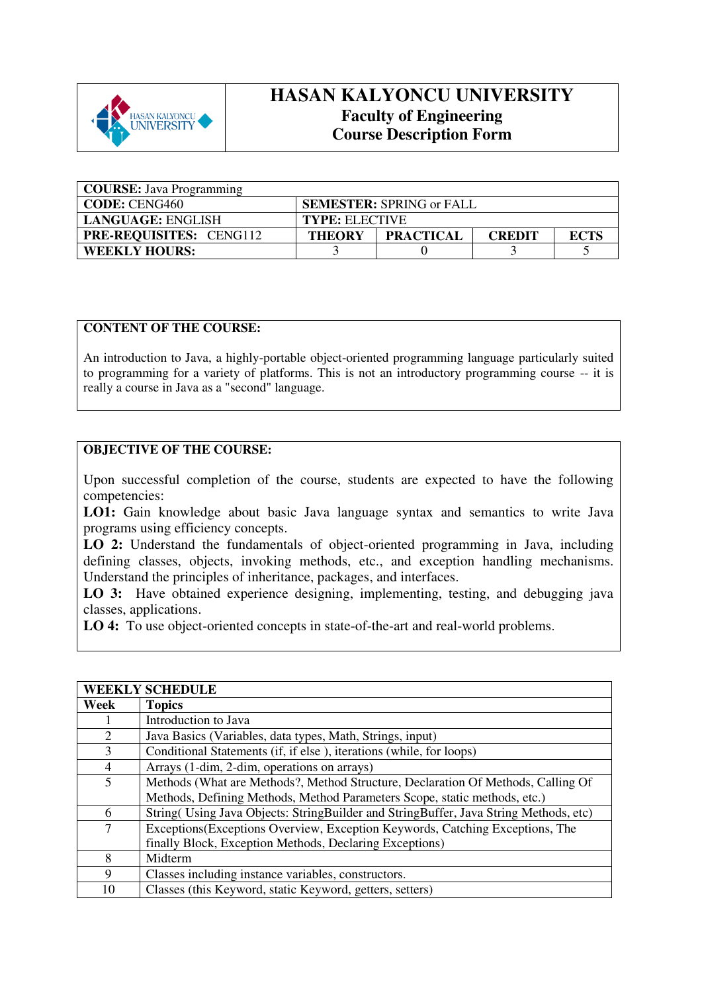

## **HASAN KALYONCU UNIVERSITY Faculty of Engineering Course Description Form**

| <b>COURSE:</b> Java Programming |                       |                                 |               |             |
|---------------------------------|-----------------------|---------------------------------|---------------|-------------|
| <b>CODE: CENG460</b>            |                       | <b>SEMESTER: SPRING or FALL</b> |               |             |
| <b>LANGUAGE: ENGLISH</b>        | <b>TYPE: ELECTIVE</b> |                                 |               |             |
| <b>PRE-REQUISITES: CENG112</b>  | <b>THEORY</b>         | <b>PRACTICAL</b>                | <b>CREDIT</b> | <b>ECTS</b> |
| <b>WEEKLY HOURS:</b>            |                       |                                 |               |             |

## **CONTENT OF THE COURSE:**

An introduction to Java, a highly-portable object-oriented programming language particularly suited to programming for a variety of platforms. This is not an introductory programming course -- it is really a course in Java as a "second" language.

## **OBJECTIVE OF THE COURSE:**

Upon successful completion of the course, students are expected to have the following competencies:

LO1: Gain knowledge about basic Java language syntax and semantics to write Java programs using efficiency concepts.

**LO 2:** Understand the fundamentals of object-oriented programming in Java, including defining classes, objects, invoking methods, etc., and exception handling mechanisms. Understand the principles of inheritance, packages, and interfaces.

**LO 3:** Have obtained experience designing, implementing, testing, and debugging java classes, applications.

**LO 4:** To use object-oriented concepts in state-of-the-art and real-world problems.

|                | <b>WEEKLY SCHEDULE</b>                                                                |
|----------------|---------------------------------------------------------------------------------------|
| Week           | <b>Topics</b>                                                                         |
|                | Introduction to Java                                                                  |
| 2              | Java Basics (Variables, data types, Math, Strings, input)                             |
| 3              | Conditional Statements (if, if else), iterations (while, for loops)                   |
| $\overline{4}$ | Arrays (1-dim, 2-dim, operations on arrays)                                           |
| 5              | Methods (What are Methods?, Method Structure, Declaration Of Methods, Calling Of      |
|                | Methods, Defining Methods, Method Parameters Scope, static methods, etc.)             |
| 6              | String (Using Java Objects: StringBuilder and StringBuffer, Java String Methods, etc) |
| $\tau$         | Exceptions (Exceptions Overview, Exception Keywords, Catching Exceptions, The         |
|                | finally Block, Exception Methods, Declaring Exceptions)                               |
| 8              | Midterm                                                                               |
| 9              | Classes including instance variables, constructors.                                   |
| 10             | Classes (this Keyword, static Keyword, getters, setters)                              |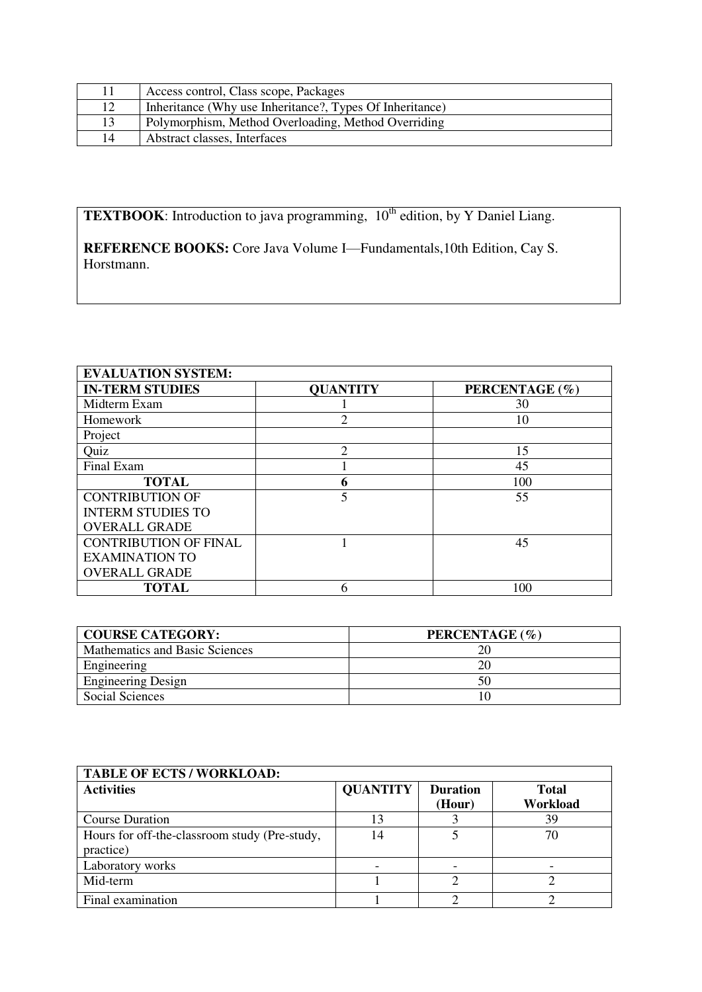|    | Access control, Class scope, Packages                    |
|----|----------------------------------------------------------|
| 12 | Inheritance (Why use Inheritance?, Types Of Inheritance) |
| 13 | Polymorphism, Method Overloading, Method Overriding      |
| 14 | Abstract classes, Interfaces                             |

**TEXTBOOK**: Introduction to java programming, 10<sup>th</sup> edition, by Y Daniel Liang.

**REFERENCE BOOKS:** Core Java Volume I—Fundamentals,10th Edition, Cay S. Horstmann.

| <b>EVALUATION SYSTEM:</b>    |                 |                |  |  |  |
|------------------------------|-----------------|----------------|--|--|--|
| <b>IN-TERM STUDIES</b>       | <b>QUANTITY</b> | PERCENTAGE (%) |  |  |  |
| Midterm Exam                 |                 | 30             |  |  |  |
| Homework                     | $\mathfrak{D}$  | 10             |  |  |  |
| Project                      |                 |                |  |  |  |
| Quiz                         | 2               | 15             |  |  |  |
| Final Exam                   |                 | 45             |  |  |  |
| <b>TOTAL</b>                 | 6               | 100            |  |  |  |
| <b>CONTRIBUTION OF</b>       | 5               | 55             |  |  |  |
| <b>INTERM STUDIES TO</b>     |                 |                |  |  |  |
| <b>OVERALL GRADE</b>         |                 |                |  |  |  |
| <b>CONTRIBUTION OF FINAL</b> |                 | 45             |  |  |  |
| <b>EXAMINATION TO</b>        |                 |                |  |  |  |
| <b>OVERALL GRADE</b>         |                 |                |  |  |  |
| <b>TOTAL</b>                 | 6               | 100            |  |  |  |

| <b>COURSE CATEGORY:</b>        | PERCENTAGE (%) |
|--------------------------------|----------------|
| Mathematics and Basic Sciences |                |
| Engineering                    |                |
| <b>Engineering Design</b>      | 50             |
| Social Sciences                |                |

| <b>TABLE OF ECTS / WORKLOAD:</b>              |                 |                 |              |  |  |
|-----------------------------------------------|-----------------|-----------------|--------------|--|--|
| <b>Activities</b>                             | <b>QUANTITY</b> | <b>Duration</b> | <b>Total</b> |  |  |
|                                               |                 | (Hour)          | Workload     |  |  |
| <b>Course Duration</b>                        | 13              |                 | 39           |  |  |
| Hours for off-the-classroom study (Pre-study, | 14              |                 | 70           |  |  |
| practice)                                     |                 |                 |              |  |  |
| Laboratory works                              |                 |                 |              |  |  |
| Mid-term                                      |                 |                 |              |  |  |
| Final examination                             |                 |                 |              |  |  |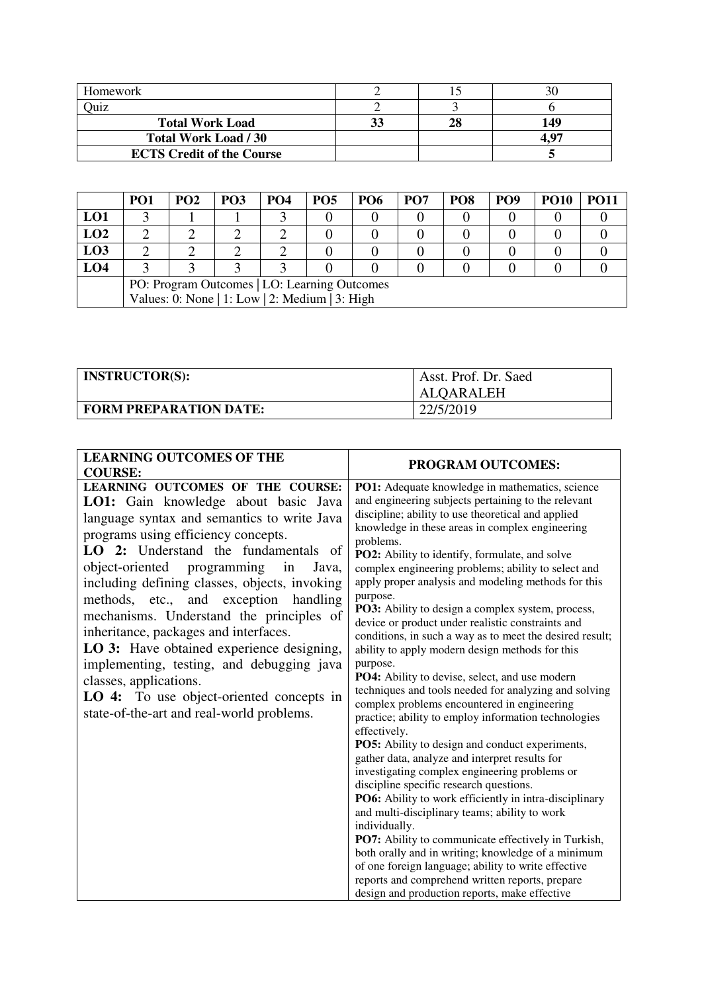| Homework                         |    |     |
|----------------------------------|----|-----|
| <b>Juiz</b>                      |    |     |
| <b>Total Work Load</b>           | 33 | 149 |
| <b>Total Work Load / 30</b>      |    |     |
| <b>ECTS Credit of the Course</b> |    |     |

|                                                | PO <sub>1</sub>                              | PO <sub>2</sub> | PO <sub>3</sub> | <b>PO4</b> | PO <sub>5</sub> | <b>PO6</b> | PO <sub>7</sub> | PO <sub>8</sub> | PO <sub>9</sub> | <b>PO10</b> | <b>PO11</b> |
|------------------------------------------------|----------------------------------------------|-----------------|-----------------|------------|-----------------|------------|-----------------|-----------------|-----------------|-------------|-------------|
| LO1                                            |                                              |                 |                 |            |                 |            |                 |                 |                 |             |             |
| LO2                                            |                                              |                 |                 |            |                 |            |                 |                 |                 |             |             |
| LO3                                            |                                              |                 |                 |            |                 |            |                 |                 |                 |             |             |
| LO <sub>4</sub>                                |                                              |                 |                 |            |                 |            |                 |                 |                 |             |             |
|                                                | PO: Program Outcomes   LO: Learning Outcomes |                 |                 |            |                 |            |                 |                 |                 |             |             |
| Values: 0: None   1: Low   2: Medium   3: High |                                              |                 |                 |            |                 |            |                 |                 |                 |             |             |

| <b>INSTRUCTOR(S):</b>         | Asst. Prof. Dr. Saed<br>ALQARALEH |
|-------------------------------|-----------------------------------|
| <b>FORM PREPARATION DATE:</b> | 22/5/2019                         |

| <b>LEARNING OUTCOMES OF THE</b>                                                                                                                                                                                                                                                                                                                                                                                                                                                                                                                                                                                                                                      |                                                                                                                                                                                                                                                                                                                                                                                                                                                                                                                                                                                                                                                                                                                                                                                                                                                                                                                                                                                                                                                                                                                                                                                                                                                                                                                                                                                                                                                                                      |
|----------------------------------------------------------------------------------------------------------------------------------------------------------------------------------------------------------------------------------------------------------------------------------------------------------------------------------------------------------------------------------------------------------------------------------------------------------------------------------------------------------------------------------------------------------------------------------------------------------------------------------------------------------------------|--------------------------------------------------------------------------------------------------------------------------------------------------------------------------------------------------------------------------------------------------------------------------------------------------------------------------------------------------------------------------------------------------------------------------------------------------------------------------------------------------------------------------------------------------------------------------------------------------------------------------------------------------------------------------------------------------------------------------------------------------------------------------------------------------------------------------------------------------------------------------------------------------------------------------------------------------------------------------------------------------------------------------------------------------------------------------------------------------------------------------------------------------------------------------------------------------------------------------------------------------------------------------------------------------------------------------------------------------------------------------------------------------------------------------------------------------------------------------------------|
| <b>COURSE:</b>                                                                                                                                                                                                                                                                                                                                                                                                                                                                                                                                                                                                                                                       | <b>PROGRAM OUTCOMES:</b>                                                                                                                                                                                                                                                                                                                                                                                                                                                                                                                                                                                                                                                                                                                                                                                                                                                                                                                                                                                                                                                                                                                                                                                                                                                                                                                                                                                                                                                             |
| <b>LEARNING OUTCOMES OF THE COURSE:</b><br>LO1: Gain knowledge about basic Java<br>language syntax and semantics to write Java<br>programs using efficiency concepts.<br>LO 2: Understand the fundamentals of<br>object-oriented<br>programming<br>in<br>Java,<br>including defining classes, objects, invoking<br>methods, etc., and exception<br>handling<br>mechanisms. Understand the principles of<br>inheritance, packages and interfaces.<br>LO 3: Have obtained experience designing,<br>implementing, testing, and debugging java<br>classes, applications.<br><b>LO 4:</b> To use object-oriented concepts in<br>state-of-the-art and real-world problems. | PO1: Adequate knowledge in mathematics, science<br>and engineering subjects pertaining to the relevant<br>discipline; ability to use theoretical and applied<br>knowledge in these areas in complex engineering<br>problems.<br>PO2: Ability to identify, formulate, and solve<br>complex engineering problems; ability to select and<br>apply proper analysis and modeling methods for this<br>purpose.<br>PO3: Ability to design a complex system, process,<br>device or product under realistic constraints and<br>conditions, in such a way as to meet the desired result;<br>ability to apply modern design methods for this<br>purpose.<br>PO4: Ability to devise, select, and use modern<br>techniques and tools needed for analyzing and solving<br>complex problems encountered in engineering<br>practice; ability to employ information technologies<br>effectively.<br>PO5: Ability to design and conduct experiments,<br>gather data, analyze and interpret results for<br>investigating complex engineering problems or<br>discipline specific research questions.<br>PO6: Ability to work efficiently in intra-disciplinary<br>and multi-disciplinary teams; ability to work<br>individually.<br>PO7: Ability to communicate effectively in Turkish,<br>both orally and in writing; knowledge of a minimum<br>of one foreign language; ability to write effective<br>reports and comprehend written reports, prepare<br>design and production reports, make effective |